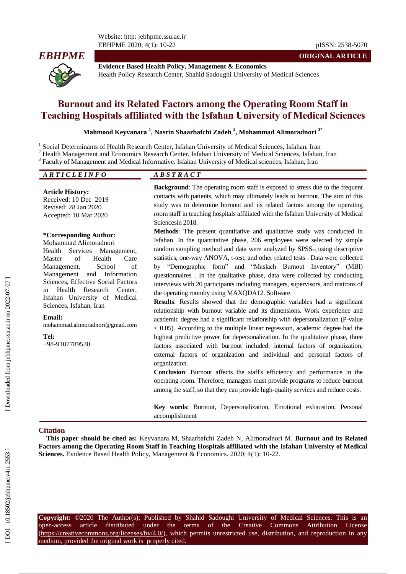Website: http: jebhpme.ssu.ac.ir EBHPME 2020; 4(1): 10 -22 pISSN: 2538 -5070



**Evidence Based Health Policy, Management & Economics** Health Policy Research Center, Shahid Sadoughi University of Medical Sciences

# **Burnout and its Related Factors among the Operating Room Staff in Teaching Hospitals affiliated with the Isfahan University of Medical Sciences**

**Mahmood Keyvanara 1 , Nasrin Shaarbafchi Zadeh 2 , Mohammad Alimoradnori 3\***

1 Social Determinants of Health Research Center, Isfahan University of Medical Sciences, Isfahan, Iran <sup>2</sup> Health Management and Economics Research Center, Isfahan University of Medical Sciences, Isfahan, Iran

Faculty of Management and Medical Informative. Isfahan University of Medical sciences , Isfahan, Iran

## *A R T I C L E I N F O A B S T R A C T*

#### **Article History:**

Received: 10 Dec 2019 Revised: 28 Jan 2020 Accepted: 10 Mar 2020

#### **\*Corresponding Author:**

Mohammad Alimoradnori Health Services Management, Master of Health Care Management, School of Management and Information Sciences, Effective Social Factors in Health Research Center, Isfahan University of Medical Sciences, Isfahan, Iran

#### **Email:**

mohammad.alimoradnori@gmail.com

**Tel:**

+98 -9107789530

**Background**: The operating room staff is exposed to stress due to the frequent contacts with patients, which may ultimately leads to burnout. The aim of this study was to determine burnout and its related factors among the operating room staff in teaching hospitals affiliated with the Isfahan University of Medical Sciencesin 2018.

**ORIGINAL ARTICLE**

**Methods**: The present quantitative and qualitative study was conducted in Isfahan . In the quantitative phase, 206 employees were selected by simple random sampling method and data were analyzed by  $SPSS<sub>23</sub>$  using descriptive statistics, one -way ANOVA, t -test, and other related tests . Data were collected by "Demographic form" and "Maslach Burnout Inventory" (MBI) questionnaires . In the qualitative phase, data were collected by conducting interviews with 20 participants including managers, supervisors, and matrons of the operating roomby using MAXQDA 12. Software.

**Results** : Results showed that the demographic variables had a significant relationship with burnout variable and its dimensions. Work experience and academic degree had a significant relationship with depersonalization (P -value  $<$  0.05). According to the multiple linear regression, academic degree had the highest predictive power for depersonalization . In the qualitative phase, three factors associated with burnout included: internal factors of organization, external factors of organization and individual and personal factors of organization.

**Conclusion**: Burnout affects the staff's efficiency and performance in the operating room. Therefore, managers must provide programs to reduce burnout among the staff, so that they can provide high -quality services and reduce costs .

**Key words**: Burnout, Depersonalization, Emotional exhaustion , Personal accomplishment

#### **Citation**

**This paper should be cited as:** Keyvanara M, Shaarbafchi Zadeh N, Alimoradnori M. **Burnout and its Related Factors among the Operating Room Staff in Teaching Hospitals affiliated with the Isfahan University of Medical**  Sciences. Evidence Based Health Policy, Management & Economics. 2020; 4(1): 10-22.

**Copyright:** ©2020 The Author(s); Published by Shahid Sadoughi University of Medical Sciences. This is an open-access -access article distributed under the terms of the Creative Commons Attribution License (https://creativecommons.org/licenses/by/4.0/), which permits unrestricted use, distribution, and reproduction in any medium, provided the original work is properly cited.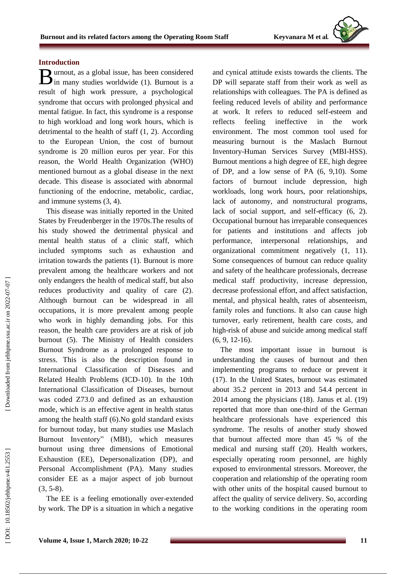## **Introductio n**

urnout, as a global issue, has been considered  $\mathbf{B}$  urnout, as a global issue, has been considered in many studies worldwide (1). Burnout is a result of high work pressure, a psychological syndrome that occurs with prolonged physical and mental fatigue. In fact, this syndrome is a response to high workload and long work hours, which is detrimental to the health of staff (1, 2). According to the European Union , the cost of burnout syndrome is 20 million euros per year. For this reason, the World Health Organization (WHO) mentioned burnout as a global disease in the next decade. This disease is associated with abnormal functioning of the endocrine, metabolic, cardiac , and immune systems (3, 4).

This disease was initially reported in the United States by Freudenberger in the 1970s.The results of his study showed the detrimental physical and mental health status of a clinic staff, which included symptoms such as exhaustion and irritation towards the patients (1). Burnout is more prevalent among the healthcare workers and not only endangers the health of medical staff , but also reduces productivity and quality of care (2). Although burnout can be widespread in all occupations, it is more prevalent among people who work in highly demanding jobs. For this reason, the health care providers are at risk of job burnout (5). The Ministry of Health considers Burnout Syndrome as a prolonged response to stress. This is also the description found in International Classification of Diseases and Related Health Problems (ICD -10). In the 10th International Classification of Diseases, burnout was coded Z73.0 and defined as an exhaustion mode, which is an effective agent in health status among the health staff (6).No gold standard exists for burnout today, but many studies use Maslach Burnout Inventory" (MBI), which measures burnout using three dimensions of Emotional Exhaustion (EE), Depersonalization (DP) , and Personal Accomplishment (PA). Many studies consider EE as a major aspect of job burnout  $(3, 5-8)$ .

The EE is a feeling emotionally over -extended by work. The DP is a situation in which a negative

and cynical attitude exists towards the clients. The DP will separate staff from their work as well as relationships with colleagues. The PA is defined as feeling reduced levels of ability and performance at work. It refers to reduced self-esteem and reflects feeling ineffective in the work environment. The most common tool used for measuring burnout is the Maslach Burnout Inventory -Human Services Survey (MBI -HSS). Burnout mentions a high degree of EE, high degree of DP, and a low sense of PA (6, 9,10). Some factors of burnout include depression, high workloads, long work hours, poor relationships, lack of autonomy, and nonstructural programs, lack of social support, and self-efficacy  $(6, 2)$ . Occupational burnout has irreparable consequences for patients and institutions and affects job performance, interpersonal relationships, and organizational commitment negatively (1, 11). Some consequences of burnout can reduce quality and safety of the healthcare professionals, decrease medical staff productivity, increase depression, decrease professional effort, and affect satisfaction, mental , and physical health, rates of absenteeism, family roles and functions. It also can cause high turnover, early retirement, health care costs , and high -risk of abuse and suicide among medical staff  $(6, 9, 12-16).$ 

The most important issue in burnout is understanding the causes of burnout and then implementing programs to reduce or prevent it (17). In the United States, burnout was estimated about 35.2 percent in 2013 and 54.4 percent in 2014 among the physicians (18). Janus et al . (19) reported that more than one -third of the German healthcare professionals have experienced this syndrome . The results of another study showed that burnout affected more than 45 % of the medical and nursing staff (20). Health workers, especially operating room personnel, are highly exposed to environmental stressors. Moreover, the cooperation and relationship of the operating room with other units of the hospital caused burnout to affect the quality of service delivery. So, according to the working conditions in the operating room

Downloaded from jebhpme.ssu.ac.ir on 2022-07-07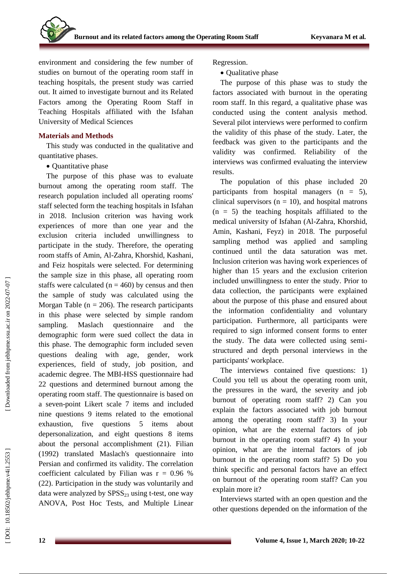environment and considering the few number of studies on burnout of the operating room staff in teaching hospitals, the present study was carried out. It aimed to investigate burnout and its Related Factors among the Operating Room Staff in Teaching Hospitals affiliated with the Isfahan University of Medical Sciences

#### **Materials and Methods**

This study was conducted in the qualitative and quantitative phases .

• Quantitative phase

The purpose of this phase was to evaluate burnout among the operating room staff. The research population included all operating rooms' staff selected form the teaching hospitals in Isfahan in 2018. Inclusion criterion was having work experiences of more than one year and the exclusion criteria included unwillingness to participate in the study. Therefore, the operating room staff s of Amin, Al -Zahra, Khorshid, Kashani , and Feiz hospitals were selected. For determining the sample size in this phase, all operating room staffs were calculated  $(n = 460)$  by census and then the sample of study was calculated using the Morgan Table ( $n = 206$ ). The research participants in this phase were selected by simple random sampling. Maslach questionnaire and the demographic form were sued collect the data in this phase. The demographic form included seven questions dealing with age, gender, work experiences, field of study, job position , and academic degree. The MBI -HSS questionnaire had 22 questions and determine d burnout among the operating room staff. The questionnaire is based on a seven -point Likert scale 7 items and included nine questions 9 items related to the emotional exhaustion, five questions 5 items about depersonalization , and eight questions 8 items about the personal accomplishment (21) . Filian (1992) translated Maslach's questionnaire into Persian and confirmed its validity. The correlation coefficient calculated by Filian was  $r = 0.96 %$ (22). Participation in the study was voluntarily and data were analyzed by  $SPSS<sub>23</sub>$  using t-test, one way ANOVA, Post Hoc Tests, and Multiple Linear

Regression.

• Qualitative phase

The purpose of this phase was to study the factors associated with burnout in the operating room staff. In this regard, a qualitative phase was conducted using the content analysis method. Several pilot interviews were performed to confirm the validity of this phase of the study . Later, the feedback was given to the participants and the validity was confirmed. Reliability of the interviews was confirmed evaluating the interview results.

The population of this phase included 20 participants from hospital managers (n = 5), clinical supervisors ( $n = 10$ ), and hospital matrons  $(n = 5)$  the teaching hospitals affiliated to the medical university of Isfahan (Al -Zahra, Khorshid, Amin, Kashani, Feyz) in 2018. The purposeful sampling method was applied and sampling continued until the data saturation was met. Inclusion criterion was having work experiences of higher than 15 years and the exclusion criterion included unwillingness to enter the study . Prior to data collection, the participants were explained about the purpose of this phase and ensured about the information confidentiality and voluntary participation. Furthermore, all participants were required to sign informed consent forms to enter the study. The data were collected using semi structured and depth personal interviews in the participants' workplace.

The interview s contained five questions: 1) Could you tell us about the operating room unit, the pressures in the ward, the severity and job burnout of operating room staff? 2) Can you explain the factors associated with job burnout among the operating room staff? 3) In your opinion, what are the external factors of job burnout in the operating room staff? 4) In your opinion, what are the internal factors of job burnout in the operating room staff? 5) Do you think specific and personal factors have an effect on burnout of the operating room staff? Can you explain more it?

Interviews started with an open question and the other questions depended on the information of the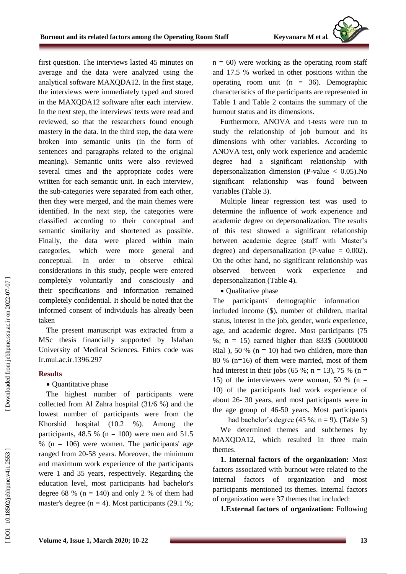first question. The interviews lasted 45 minutes on average and the data were analyzed using the analytical software MAXQDA12. In the first stage, the interviews were immediately typed and stored in the MAXQDA12 software after each interview. In the next step, the interviews' texts were read and reviewed, so that the researchers found enough mastery in the data. In the third step, the data were broken into semantic units (in the form of sentences and paragraphs related to the original meaning). Semantic units were also reviewed several times and the appropriate codes were written for each semantic unit. In each interview, the sub -categories were separated from each other, then they were merged , and the main themes were identified. In the next step, the categories were classified according to their conceptual and semantic similarity and shortened as possible. Finally, the data were placed within main categories which were more general and conceptual . In order to observe ethical considerations in this study, people were entered completely voluntarily and consciously and their specifications and information remained completely confidential. It should be noted that the informed consent of individuals has already been taken

The present manuscript was extracted from a MSc thesis financially supported by Isfahan University of Medical Sciences. Ethics code was Ir.mui.ac.ir.1396.297

## **Results**

## • Quantitative phase

The highest number of participants were collected from Al Zahra hospital (31/6 %) and the lowest number of participants were from the Khorshid hospital (10.2 %). Among the participants, 48.5 % ( $n = 100$ ) were men and 51.5 % (n = 106) were women. The participants' age ranged from 20 -58 years. Moreover, the minimum and maximum work experience of the participants were 1 and 35 years, respectively. Regarding the education level, most participants had bachelor's degree  $68 \%$  ( $n = 140$ ) and only 2 % of them had master's degree  $(n = 4)$ . Most participants (29.1 %;

n = 60) were working as the operating room staff and 17.5 % worked in other positions within the operating room unit (n = 36). Demographic characteristics of the participants are represented in Table 1 and Table 2 contains the summary of the burnout status and its dimensions .

Furthermore, ANOVA and t -tests were run to study the relationship of job burnout and its dimensions with other variables. According to ANOVA test, only work experience and academic degree had a significant relationship with depersonalization dimension (P -value < 0.05).No significant relationship was found between variables (Table 3 ) .

Multiple linear regression test was used to determine the influence of work experience and academic degree on depersonalization. The results of this test showed a significant relationship between academic degree (staff with Master's degree) and depersonalization (P-value  $= 0.002$ ). On the other hand, no significant relationship was observed between work experience and depersonalization (Table 4).

• Qualitative phase

The participants' demographic information included income (\$), number of children, marital status, interest in the job, gender, work experience, age, and academic degree. Most participants (75 %; n = 15) earned higher than 833\$ (50000000 Rial), 50 % ( $n = 10$ ) had two children, more than 80 % (n=16) of them were married , most of them had interest in their jobs  $(65\%; n = 13)$ , 75 %  $(n = 15)$ 15) of the interviewees were woman, 50 % ( $n =$ 10) of the participants had work experience of about 26 - 30 years , and most participants were in the age group of 46 -50 years. Most participants

had bachelor's degree  $(45\%; n = 9)$ . (Table 5) We determined themes and subthemes by MAXQDA12, which resulted in three main themes .

**1. Internal factors of the organization:** Most factors associated with burnout were related to the internal factors of organization and most participants mentioned its themes. Internal factors of organization were 37 themes that included:

**1.External factors of organization:** Following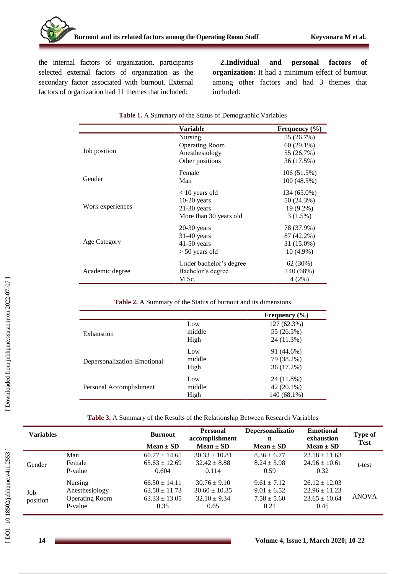the internal factors of organization, participants selected external factors of organization as the secondary factor associated with burnout. External factors of organization had 11 themes that included:

**2.Individual and personal factors of organization:** It had a minimum effect of burnout among other factors and had 3 themes that included:

|                     | Variable                | Frequency $(\% )$ |
|---------------------|-------------------------|-------------------|
|                     | Nursing                 | 55 (26.7%)        |
|                     | <b>Operating Room</b>   | $60(29.1\%)$      |
| Job position        | Anesthesiology          | 55 (26.7%)        |
|                     | Other positions         | 36 (17.5%)        |
|                     | Female                  | 106 (51.5%)       |
| Gender              | Man                     | 100 (48.5%)       |
|                     | $<$ 10 years old        | 134 (65.0%)       |
|                     | $10-20$ years           | 50 (24.3%)        |
| Work experiences    | $21-30$ years           | 19 (9.2%)         |
|                     | More than 30 years old  | 3(1.5%)           |
|                     | $20-30$ years           | 78 (37.9%)        |
|                     | $31-40$ years           | 87 (42.2%)        |
| <b>Age Category</b> | $41-50$ years           | 31 (15.0%)        |
|                     | $> 50$ years old        | $10(4.9\%)$       |
|                     | Under bachelor's degree | 62 (30%)          |
| Academic degree     | Bachelor's degree       | 140 (68%)         |
|                     | M.Sc.                   | 4(2%)             |

#### **Table 1.** A Summary of the Status of Demographic Variables

**Table 2.** A Summary of the Status of burnout and its dimensions

|                             |        | Frequency $(\% )$ |
|-----------------------------|--------|-------------------|
|                             | Low    | 127 (62.3%)       |
| Exhaustion                  | middle | 55 (26.5%)        |
|                             | High   | 24 (11.3%)        |
|                             | Low    | 91 (44.6%)        |
| Depersonalization-Emotional | middle | 79 (38.2%)        |
|                             | High   | 36 (17.2%)        |
|                             | Low    | 24 (11.8%)        |
| Personal Accomplishment     | middle | $42(20.1\%)$      |
|                             | High   | 140 (68.1%)       |

**Table 3.** A Summary of the Results of the Relationship Between Research Variables

| <b>Variables</b> |                       | <b>Burnout</b><br>$Mean \pm SD$ | <b>Personal</b><br>accomplishment<br>$Mean \pm SD$ | Depersonalizatio<br>n<br>$Mean \pm SD$ | <b>Emotional</b><br>exhaustion<br>$Mean \pm SD$ | Type of<br><b>Test</b> |
|------------------|-----------------------|---------------------------------|----------------------------------------------------|----------------------------------------|-------------------------------------------------|------------------------|
|                  | Man                   | $60.77 \pm 14.65$               | $30.33 \pm 10.81$                                  | $8.36 \pm 6.77$                        | $22.18 \pm 11.63$                               |                        |
| Gender           | Female                | $65.63 \pm 12.69$               | $32.42 \pm 8.88$                                   | $8.24 \pm 5.98$                        | $24.96 \pm 10.61$                               | t-test                 |
|                  | P-value               | 0.604                           | 0.114                                              | 0.59                                   | 0.32                                            |                        |
|                  | Nursing               | $66.50 \pm 14.11$               | $30.76 \pm 9.10$                                   | $9.61 \pm 7.12$                        | $26.12 \pm 12.03$                               |                        |
| Job<br>position  | Anesthesiology        | $63.58 \pm 11.73$               | $30.60 \pm 10.35$                                  | $9.01 \pm 6.52$                        | $22.96 \pm 11.23$                               |                        |
|                  | <b>Operating Room</b> | $63.33 \pm 13.05$               | $32.10 \pm 9.34$                                   | $7.58 \pm 5.60$                        | $23.65 \pm 10.64$                               | <b>ANOVA</b>           |
|                  | P-value               | 0.35                            | 0.65                                               | 0.21                                   | 0.45                                            |                        |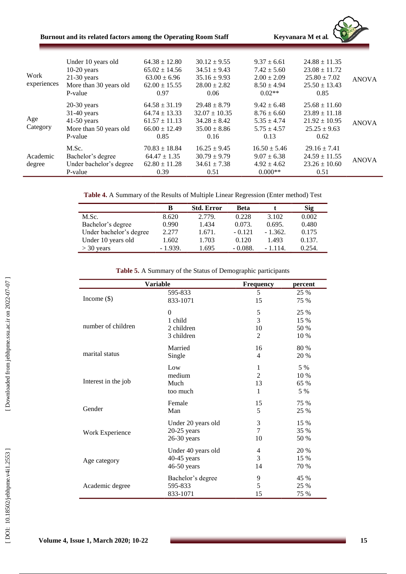| Burnout and its related factors among the Operating Room Staff | Kevyanara M et al. |
|----------------------------------------------------------------|--------------------|
|----------------------------------------------------------------|--------------------|



|                    | Under 10 years old      | $64.38 \pm 12.80$ | $30.12 \pm 9.55$  | $9.37 \pm 6.61$  | $24.88 \pm 11.35$ |              |
|--------------------|-------------------------|-------------------|-------------------|------------------|-------------------|--------------|
|                    | $10-20$ years           | $65.02 \pm 14.56$ | $34.51 \pm 9.43$  | $7.42 \pm 5.60$  | $23.08 \pm 11.72$ |              |
| Work               | $21-30$ years           | $63.00 \pm 6.96$  | $35.16 \pm 9.93$  | $2.00 \pm 2.09$  | $25.80 \pm 7.02$  | <b>ANOVA</b> |
| experiences        | More than 30 years old  | $62.00 \pm 15.55$ | $28.00 \pm 2.82$  | $8.50 \pm 4.94$  | $25.50 \pm 13.43$ |              |
|                    | P-value                 | 0.97              | 0.06              | $0.02**$         | 0.85              |              |
|                    | $20-30$ years           | $64.58 \pm 31.19$ | $29.48 \pm 8.79$  | $9.42 \pm 6.48$  | $25.68 \pm 11.60$ |              |
|                    | $31-40$ years           | $64.74 \pm 13.33$ | $32.07 \pm 10.35$ | $8.76 \pm 6.60$  | $23.89 \pm 11.18$ |              |
| Age                | $41-50$ years           | $61.57 \pm 11.13$ | $34.28 \pm 8.42$  | $5.35 \pm 4.74$  | $21.92 \pm 10.95$ | <b>ANOVA</b> |
| Category           | More than 50 years old  | $66.00 \pm 12.49$ | $35.00 \pm 8.86$  | $5.75 \pm 4.57$  | $25.25 \pm 9.63$  |              |
| Academic<br>degree | P-value                 | 0.85              | 0.16              | 0.13             | 0.62              |              |
|                    | M.Sc.                   | $70.83 \pm 18.84$ | $16.25 \pm 9.45$  | $16.50 \pm 5.46$ | $29.16 \pm 7.41$  |              |
|                    | Bachelor's degree       | $64.47 \pm 1.35$  | $30.79 \pm 9.79$  | $9.07 \pm 6.38$  | $24.59 \pm 11.55$ | <b>ANOVA</b> |
|                    | Under bachelor's degree | $62.80 \pm 11.28$ | $34.61 \pm 7.38$  | $4.92 \pm 4.62$  | $23.26 \pm 10.60$ |              |
|                    | P-value                 | 0.39              | 0.51              | $0.000**$        | 0.51              |              |
|                    |                         |                   |                   |                  |                   |              |

| Table 4. A Summary of the Results of Multiple Linear Regression (Enter method) Test |  |  |  |  |
|-------------------------------------------------------------------------------------|--|--|--|--|
|-------------------------------------------------------------------------------------|--|--|--|--|

|                         | в         | <b>Std. Error</b> | Beta      |           | <b>Sig</b> |
|-------------------------|-----------|-------------------|-----------|-----------|------------|
| M.Sc.                   | 8.620     | 2.779.            | 0.228     | 3.102     | 0.002      |
| Bachelor's degree       | 0.990     | 1.434             | 0.073.    | 0.695.    | 0.480      |
| Under bachelor's degree | 2.277     | 1.671.            | $-0.121$  | $-1.362.$ | 0.175      |
| Under 10 years old      | 1.602     | 1.703             | 0.120     | 1.493     | 0.137.     |
| $>$ 30 years            | $-1.939.$ | 1.695             | $-0.088.$ | $-1.114.$ | 0.254.     |

| Table 5. A Summary of the Status of Demographic participants |  |  |  |
|--------------------------------------------------------------|--|--|--|
|--------------------------------------------------------------|--|--|--|

| <b>Variable</b>     |                    | Frequency      | percent |  |
|---------------------|--------------------|----------------|---------|--|
| Income $(\$)$       | 595-833            | 5              | 25 %    |  |
|                     | 833-1071           | 15             | 75 %    |  |
| number of children  | $\Omega$           | 5              | 25 %    |  |
|                     | 1 child            | 3              | 15 %    |  |
|                     | 2 children         | 10             | 50 %    |  |
|                     | 3 children         | $\overline{2}$ | 10 %    |  |
| marital status      | Married            | 16             | 80 %    |  |
|                     | Single             | 4              | 20 %    |  |
| Interest in the job | Low                | 1              | 5 %     |  |
|                     | medium             | $\mathfrak{D}$ | 10 %    |  |
|                     | Much               | 13             | 65 %    |  |
|                     | too much           | 1              | 5 %     |  |
| Gender              | Female             | 15             | 75 %    |  |
|                     | Man                | 5              | 25 %    |  |
| Work Experience     | Under 20 years old | 3              | 15 %    |  |
|                     | $20-25$ years      | 7              | 35 %    |  |
|                     | $26-30$ years      | 10             | 50 %    |  |
| Age category        | Under 40 years old | 4              | 20 %    |  |
|                     | 40-45 years        | 3              | 15 %    |  |
|                     | 46-50 years        | 14             | 70 %    |  |
| Academic degree     | Bachelor's degree  | 9              | 45 %    |  |
|                     | 595-833            | 5              | 25 %    |  |
|                     | 833-1071           | 15             | 75 %    |  |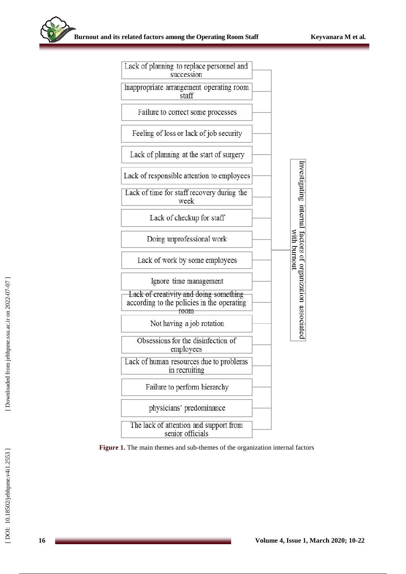| Lack of planning to replace personnel and<br>succession                                      |              |                                                          |
|----------------------------------------------------------------------------------------------|--------------|----------------------------------------------------------|
| Inappropriate arrangement operating room<br>staff                                            |              |                                                          |
| Failure to correct some processes                                                            |              |                                                          |
| Feeling of loss or lack of job security                                                      |              |                                                          |
| Lack of planning at the start of surgery                                                     |              |                                                          |
| Lack of responsible attention to employees                                                   |              |                                                          |
| Lack of time for staff recovery during the<br>week                                           |              |                                                          |
| Lack of checkup for staff                                                                    |              |                                                          |
| Doing unprofessional work                                                                    | with burnout |                                                          |
| Lack of work by some employees                                                               |              |                                                          |
| Ignore time management                                                                       |              |                                                          |
| Lack of creativity and doing something<br>according to the policies in the operating<br>room |              | nvestigating internal factors of organization associated |
| Not having a job rotation                                                                    |              |                                                          |
| Obsessions for the disinfection of<br>employees                                              |              |                                                          |
| Lack of human resources due to problems<br>in recruiting                                     |              |                                                          |
| Failure to perform hierarchy                                                                 |              |                                                          |
| physicians' predominance                                                                     |              |                                                          |
| The lack of attention and support from<br>senior officials                                   |              |                                                          |

Figure 1. The main themes and sub-themes of the organization internal factors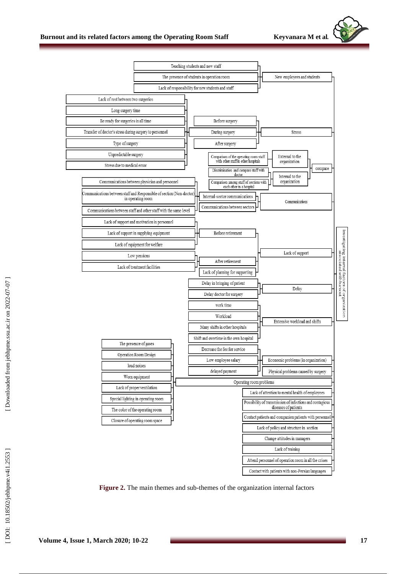



Figure 2. The main themes and sub-themes of the organization internal factors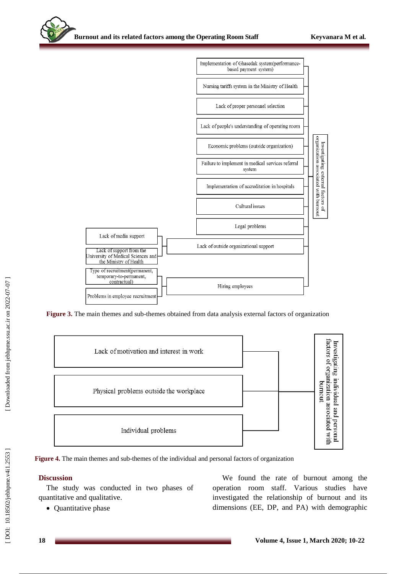

Figure 3. The main themes and sub-themes obtained from data analysis external factors of organization



**Figure 4.** The main themes and sub -themes of the individual and personal factors of organization

## **Discussion**

The study was conducted in two phases of quantitative and qualitative .

• Quantitative phase

We found the rate of burnout among the operation room staff. Various studies have investigated the relationship of burnout and its dimensions (EE, DP , and PA) with demographic

DOI: 10.18502/jebhpne.v4i1.2553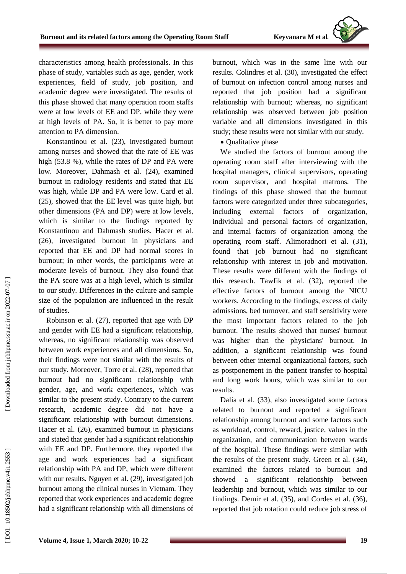characteristics among health professionals. In this phase of study, variables such as age, gender, work experiences, field of study, job position , and academic degree were investigated. The results of this phase showed that many operation room staffs were at low levels of EE and DP, while they were at high levels of PA. So, it is better to pay more attention to PA dimension.

Konstantinou et al. (23 ) , investigated burnout among nurses and showed that the rate of EE was high (53.8 %), while the rates of DP and PA were low. Moreover, Dahmash et al. (24), examined burnout in radiology residents and stated that EE was high, while DP and PA were low . Card et al. (25 ) , showed that the [EE](https://www.sciencedirect.com/topics/medicine-and-dentistry/emotional-stress) level was quite high , but other dimensions (PA and DP) were at low levels, which is similar to the findings reported by Konstantinou and Dahmash studies. Hacer et al. (26), investigated burnout in physicians and reported that EE and DP had normal scores in burnout; in other words, the participants were at moderate level s of burnout. They also found that the PA score was at a high level, which is similar to our study. Differences in the culture and sample size of the population are influenced in the result of studies.

Robinson et al. (27 ) , reported that age with DP and gender with EE had a significant relationship, whereas , no significant relationship was observed between work experiences and all dimensions. So , their findings were not similar with the results of our study. Moreover, Torre et al. (28), reported that burnout had no significant relationship with gender, age, and work experiences , which was similar to the present study. Contrary to the current research, academic degree did not have a significant relationship with burnout dimensions. Hacer et al. (26), examined burnout in physicians and stated that gender had a significant relationship with EE and DP. Furthermore, they reported that age and work experiences had a significant relationship with PA and DP, which were different with our results. Nguyen et al. (29), investigated job burnout among the clinical nurses in Vietnam. They reported that work experiences and academic degree had a significant relationship with all dimensions of

burnout, which was in the same line with our results. Colindres et al. (30 ) , investigated the effect of burnout on infection control among nurses and reported that job position had a significant relationship with burnout; whereas , no significant relationship was observed between job position variable and all dimensions investigated in this study; these results were not similar with our study.

• Qualitative phase

We studied the factors of burnout among the operating room staff after interviewing with the hospital managers, clinical supervisors, operating room supervisor , and hospital matrons. The findings of this phase showed that the burnout factors were categorized under three subcategories, including external factors of organization, individual and personal factors of organization, and internal factors of organization among the operating room staff. Alimoradnori et al. (31 ) , found that job burnout had no significant relationship with interest in job and motivation. These results were different with the findings of this research. Tawfik et al. (32 ) , reported the effective factors of burnout among the NICU workers. According to the findings, excess of daily admissions, bed turnover , and staff sensitivity were the most important factors related to the job burnout. The results showed that nurses' burnout was higher than the physicians' burnout. In addition, a significant relationship was found between other internal organizational factors, such as postponement in the patient transfer to hospital and long work hours , which was similar to our results.

Dalia et al. (33 ) , als o investigated some factors related to burnout and reported a significant relationship among burnout and some factors such as workload, control, reward, justice, values in the organization , and communication between wards of the hospital. These findings were similar with the results of the present study. Green et al. (34 ) , examined the factors related to burnout and showed a significant relationship between leadership and burnout, which was similar to our findings. Demir et al. (35), and Cordes et al. (36), reported that job rotation could reduce job stress of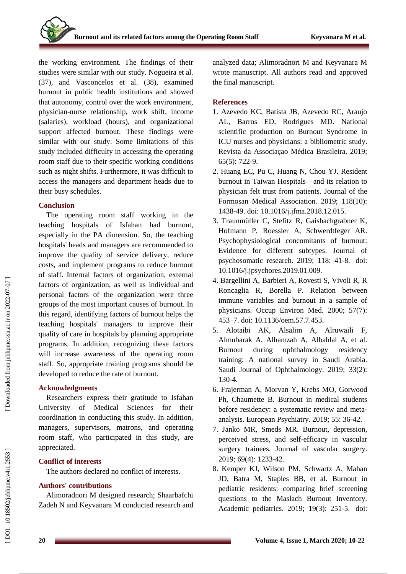the working environment. The findings of their studies were similar with our study. Nogueira et al. (37), and Vasconcelos et al. (38), examined burnout in public health institutions and showed that autonomy, control over the work environment, physician -nurse relationship, work shift, income (salaries), workload (hours) , and organizational support affected burnout. These findings were similar with our study. Some limitations of this study included difficulty in accessing the operating room staff due to their specific working conditions such as night shifts. Furthermore, it was difficult to access the managers and department heads due to their busy schedules .

## **Conclusion**

The operating room staff working in the teaching hospitals of Isfahan had burnout, especially in the PA dimension. So, the teaching hospitals' heads and managers are recommended to improve the quality of service delivery , reduce costs, and implement programs to reduce burnout of staff . Internal factors of organization, external factors of organization, as well as individual and personal factors of the organization were three groups of the most important causes of burnout. In this regard, identifying factors of burnout helps the teaching hospitals' managers to improve their quality of care in hospitals by planning appropriate programs. In addition, recognizing these factors will increase awareness of the operating room staff. So, appropriate training programs should be developed to reduce the rate of burnout.

## **Acknowledgment s**

Researchers express their gratitude to Isfahan University of Medical Science s for their coordination in conducting this study. In addition, managers, supervisors, matrons, and operating room staff, who participated in this study , are appreciated.

# **Conflict of interests**

The authors declared no conflict of interests.

# **Authors' contributions**

Alimoradnori M designed research; Shaarbafchi Zadeh N and Keyvanara M conducted research and analyzed data; Alimoradnori M and Keyvanara M wrote manuscript. All authors read and approved the final manuscript.

# **References**

- 1. Azevedo KC, Batista JB, Azevedo RC, Araujo AL, Barros ED, Rodrigues MD. National scientific production on Burnout Syndrome in ICU nurses and physicians: a bibliometric study. Revista da Associaçao Médica Brasileira. 2019; 65(5): 722 -9.
- 2. Huang EC, Pu C, Huang N, Chou YJ. Resident burnout in Taiwan Hospitals —and its relation to physician felt trust from patients. Journal of the Formosan Medical Association. 2019; 118(10): 1438 -49. doi: 10.1016/j.jfma.2018.12.015.
- 3. Traunmüller C, Stefitz R, Gaisbachgrabner K, Hofmann P, Roessler A, Schwerdtfeger AR. Psychophysiological concomitants of burnout: Evidence for different subtypes. Journal of psychosomatic research. 2019; 118: 41 -8. doi: 10.1016/j.jpsychores.2019.01.009.
- 4. Bargellini A, Barbieri A, Rovesti S, Vivoli R, R Roncaglia R, Borella P. Relation between immune variables and burnout in a sample of physicians. Occup Environ Med. 2000; 57(7): 453 –7. doi: 10.1136/oem.57.7.453.
- 5. Alotaibi AK, Alsalim A, Alruwaili F, Almubarak A, Alhamzah A, Albahlal A, et al. Burnout during ophthalmology residency training: A national survey in Saudi Arabia. Saudi Journal of Ophthalmology. 2019; 33(2): 130 -4.
- 6. Frajerman A, Morvan Y, Krebs MO, Gorwood Ph, Chaumette B. Burnout in medical students before residency: a systematic review and meta analysis. European Psychiatry. 2019; 55: 36 -42.
- 7. Janko MR, Smeds MR. Burnout, depression, perceived stress, and self-efficacy in vascular surgery trainees. Journal of vascular surgery. 2019; 69(4): 1233 -42.
- 8. Kemper KJ, Wilson PM, Schwartz A, Mahan JD, Batra M, Staples BB, et al. Burnout in pediatric residents: comparing brief screening questions to the Maslach Burnout Inventory. Academic pediatrics. 2019; 19(3): 251 -5. doi: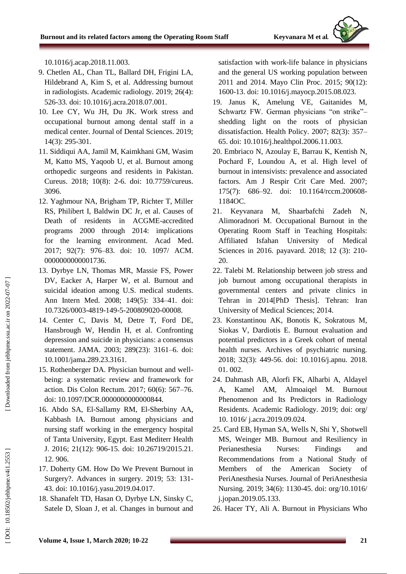10.1016/j.acap.2018.11.003.

- 9. Chetlen AL, Chan TL, Ballard DH, Frigini LA, Hildebrand A, Kim S, et al. Addressing burnout in radiologists. Academic radiology. 2019; 26(4): 526 -33. doi: 10.1016/j.acra.2018.07.001.
- 10. Lee CY, Wu JH, Du JK. Work stress and occupational burnout among dental staff in a medical center. Journal of Dental Sciences. 2019; 14(3): 295 -301.
- 11. Siddiqui AA, Jamil M, Kaimkhani GM, Wasim M, Katto MS, Yaqoob U, et al. Burnout among orthopedic surgeons and residents in Pakistan. Cureus. 2018; 10(8): 2 -6. doi: 10.7759/cureus. 3096.
- 12. Yaghmour NA, Brigham TP, Richter T, Miller RS, Philibert I, Baldwin DC Jr, et al. Causes of Death of residents in ACGME -accredited programs 2000 through 2014: implications for the learning environment. Acad Med. 2017; 92(7): 976 –83. doi: 10. 1097/ ACM. 0000000000001736.
- 13. Dyrbye LN, Thomas MR, Massie FS, Power DV, Eacker A, Harper W, et al. Burnout and suicidal ideation among U.S. medical students. Ann Intern Med. 2008; 149(5): 334 –41. doi: 10.7326/0003 -4819 -149 - 5 -200809020 -00008.
- 14. Center C, Davis M, Detre T, Ford DE, Hansbrough W, Hendin H, et al. Confronting depression and suicide in physicians: a consensus statement. JAMA. 2003; 289(23): 3161 –6. doi: 10.1001/jama.289.23.3161.
- 15. Rothenberger DA. Physician burnout and well being: a systematic review and framework for action. Dis Colon Rectum. 2017; 60(6): 567 –76. doi: 10.1097/DCR.0000000000000844.
- 16. Abdo SA, El -Sallamy RM, El -Sherbiny AA, Kabbash IA. Burnout among physicians and nursing staff working in the emergency hospital of Tanta University, Egypt. East Mediterr Health J. 2016; 21(12): 906 -15. doi: 10.26719/2015.21. 12. 906.
- 17. Doherty GM. How Do We Prevent Burnout in Surgery?. Advances in surgery. 2019; 53: 131 - 43. doi: 10.1016/j.yasu.2019.04.017.
- 18. Shanafelt TD, Hasan O, Dyrbye LN, Sinsky C, Satele D, Sloan J, et al. Changes in burnout and

satisfaction with work -life balance in physicians and the general US working population between 2011 and 2014. Mayo Clin Proc. 2015; 90(12): 1600 -13. doi: 10.1016/j.mayocp.2015.08.023.

- 19. Janus K, Amelung VE, Gaitanides M, Schwartz FW. German physicians "on strike"shedding light on the roots of physician dissatisfaction. Health Policy. 2007; 82(3): 357 – 65. doi: 10.1016/j.healthpol.2006.11.003.
- 20. Embriaco N, Azoulay E, Barrau K, Kentish N, Pochard F, Loundou A, et al. High level of burnout in intensivists: prevalence and associated factors. Am J Respir Crit Care Med. 2007; 175(7): 686 –92. doi: 10.1164/rccm.200608 - 1184OC.
- 21. Keyvanara M, Shaarbafchi Zadeh N, Alimoradnori M. Occupational Burnout in the Operating Room Staff in Teaching Hospitals: Affiliated Isfahan University of Medical Sciences in 2016. payavard. 2018; 12 (3): 210-20.
- 22. Talebi M. Relationship between job stress and job burnout among occupational therapists in governmental centers and private clinics in Tehran in 2014[PhD Thesis]. Tehran: Iran University of Medical Sciences; 2014.
- 23. Konstantinou AK, Bonotis K, Sokratous M, Siokas V, Dardiotis E. Burnout evaluation and potential predictors in a Greek cohort of mental health nurses. Archives of psychiatric nursing. 2018; 32(3): 449 -56. doi: 10.1016/j.apnu. 2018. 01. 002.
- 24. Dahmash AB, Alorfi FK, Alharbi A, Aldayel A, Kamel AM, Almoaiqel M. Burnout Phenomenon and Its Predictors in Radiology Residents. Academic Radiology. 2019; [doi: org/](https://doi.org/10.1016/j.acra.2019.09.024) 10. 1016/ [j.acra.2019.09.024](https://doi.org/10.1016/j.acra.2019.09.024) .
- 25. Card EB, Hyman SA, Wells N, Shi Y, Shotwell MS, Weinger MB. Burnout and Resiliency in Perianesthesia Nurses: Findings and Recommendations from a National Study of Members of the American Society of PeriAnesthesia Nurses. Journal of PeriAnesthesia Nursing. 2019; 34(6): 1130 -45. [doi: org/10.1016/](https://doi.org/10.1016/j.jopan.2019.05.133) [j.jopan.2019.05.133](https://doi.org/10.1016/j.jopan.2019.05.133) .
- 26. Hacer TY, Ali A. Burnout in Physicians Who